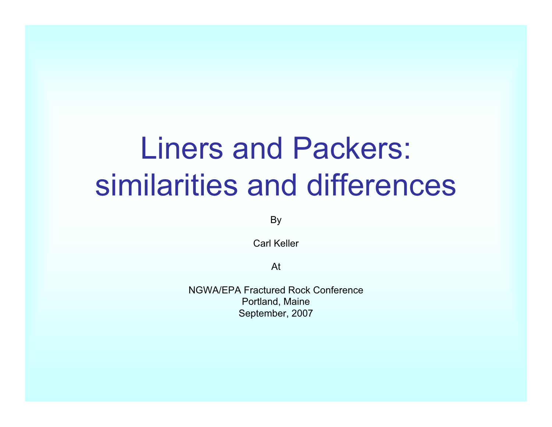## Liners and Packers: similarities and differences

By

Carl Keller

At

NGWA/EPA Fractured Rock Conference Portland, Maine September, 2007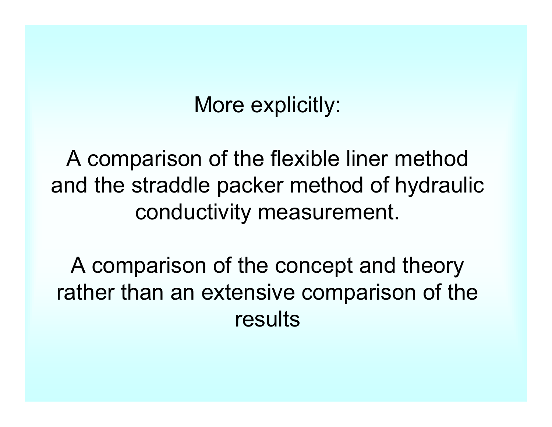#### More explicitly:

A comparison of the flexible liner method and the straddle packer method of hydraulic conductivity measurement.

A comparison of the concept and theory rather than an extensive comparison of the results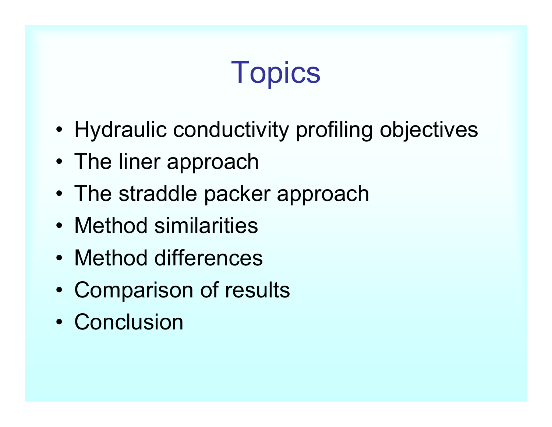# **Topics**

- •Hydraulic conductivity profiling objectives
- The liner approach
- The straddle packer approach
- Method similarities
- Method differences
- •Comparison of results
- Conclusion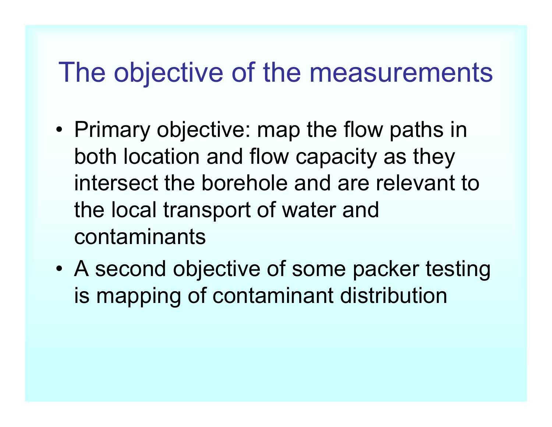#### The objective of the measurements

- • Primary objective: map the flow paths in both location and flow capacity as they intersect the borehole and are relevant to the local transport of water and contaminants
- • A second objective of some packer testing is mapping of contaminant distribution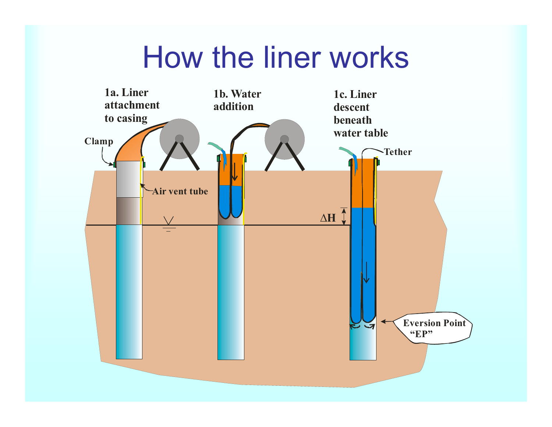#### How the liner works

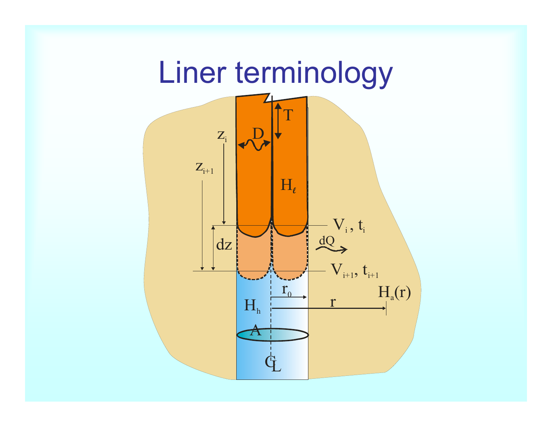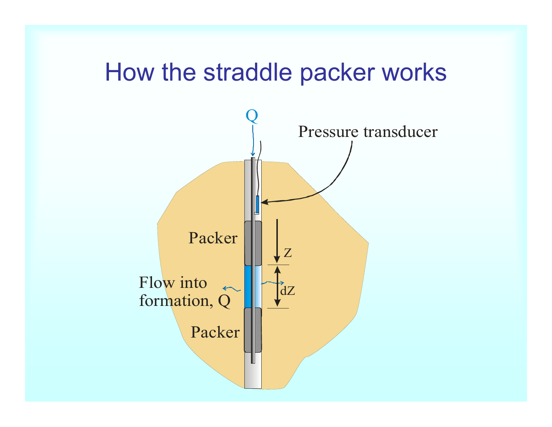#### How the straddle packer works

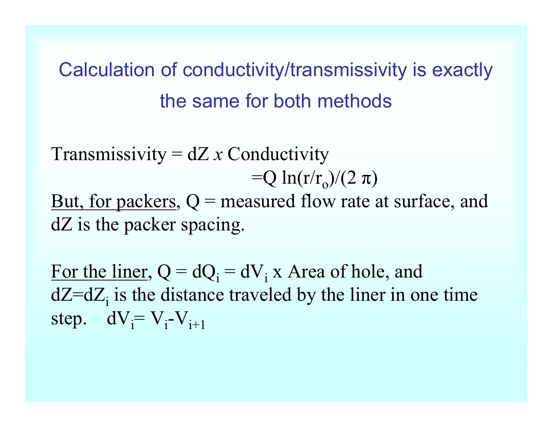#### Calculation of conductivity/transmissivity is exactly the same for both methods

Transmissivity = dZ *x* Conductivity  $=Q \ln(r/r_0)/(2 \pi)$ But, for packers,  $Q$  = measured flow rate at surface, and

dZ is the packer spacing.

For the liner,  $Q = dQ_i = dV_i$  x Area of hole, and  $dZ=dZ_i$  is the distance traveled by the liner in one time step.  $dV_i = V_i - V_{i+1}$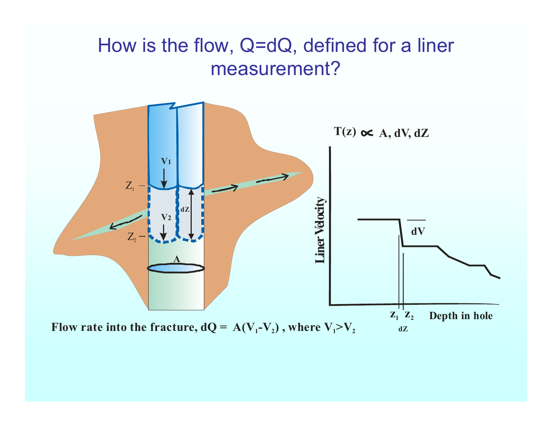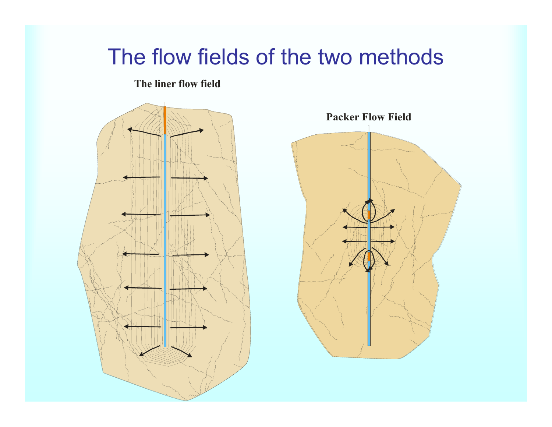#### The flow fields of the two methods

**The liner flow fiel d**



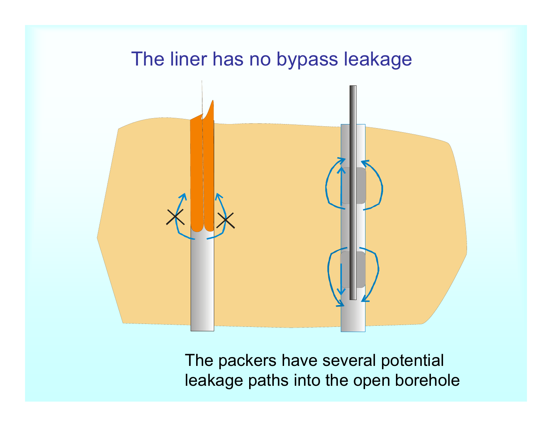

The packers have several potential leakage paths into the open borehole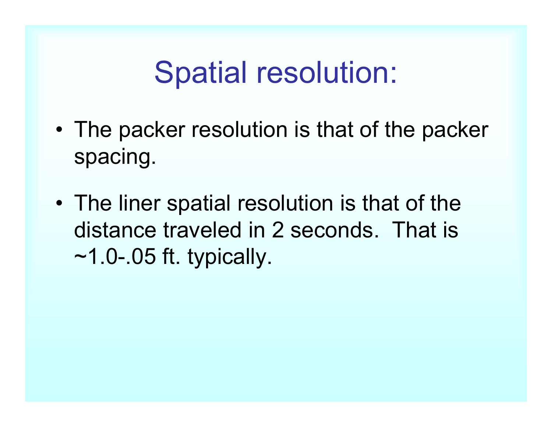#### Spatial resolution:

- • The packer resolution is that of the packer spacing.
- • The liner spatial resolution is that of the distance traveled in 2 seconds. That is  $~1.0 - .05$  ft. typically.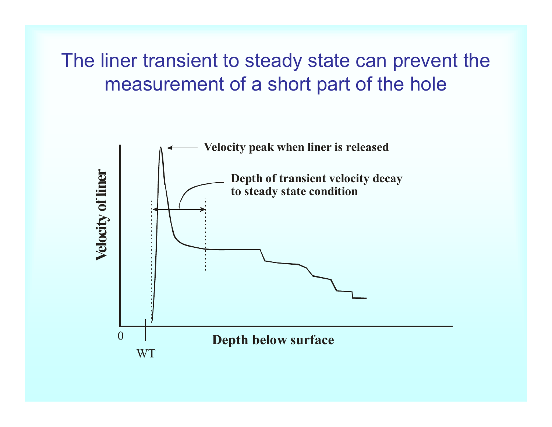The liner transient to steady state can prevent the measurement of a short part of the hole

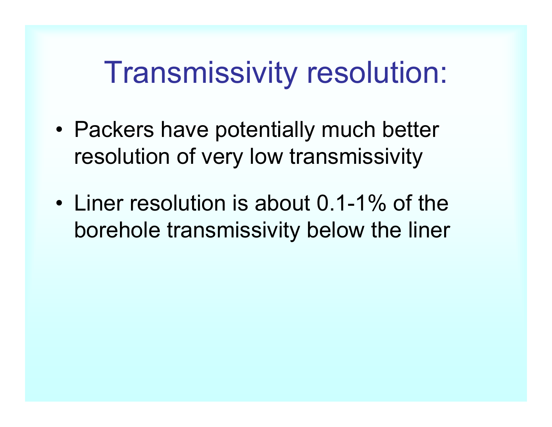#### Transmissivity resolution:

- Packers have potentially much better resolution of very low transmissivity
- • Liner resolution is about 0.1-1% of the borehole transmissivity below the liner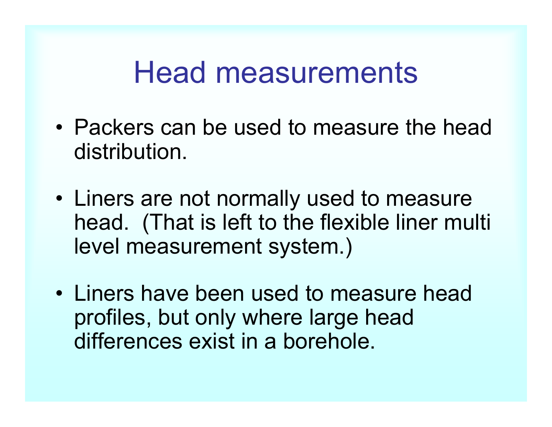#### Head measurements

- Packers can be used to measure the head distribution.
- Liners are not normally used to measure head. (That is left to the flexible liner multi level measurement system.)
- Liners have been used to measure head profiles, but only where large head differences exist in a borehole.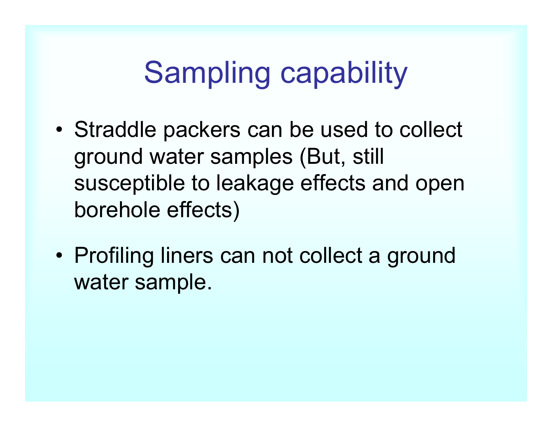## Sampling capability

- • Straddle packers can be used to collect ground water samples (But, still susceptible to leakage effects and open borehole effects)
- • Profiling liners can not collect a ground water sample.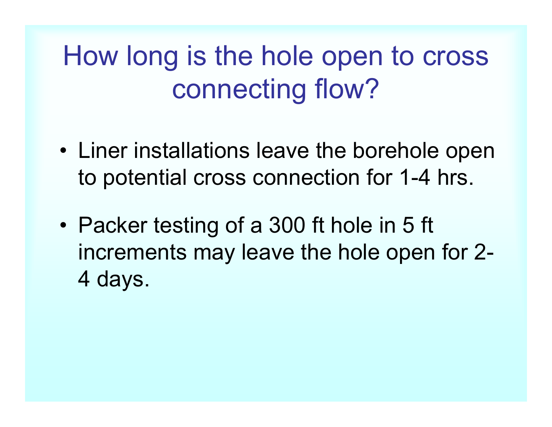## How long is the hole open to cross connecting flow?

- Liner installations leave the borehole open to potential cross connection for 1-4 hrs.
- • Packer testing of a 300 ft hole in 5 ft increments may leave the hole open for 2- 4 days.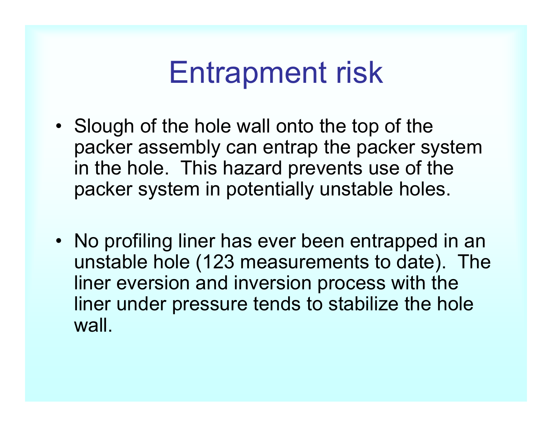### Entrapment risk

- Slough of the hole wall onto the top of the packer assembly can entrap the packer system in the hole. This hazard prevents use of the packer system in potentially unstable holes.
- No profiling liner has ever been entrapped in an unstable hole (123 measurements to date). The liner eversion and inversion process with the liner under pressure tends to stabilize the hole wall.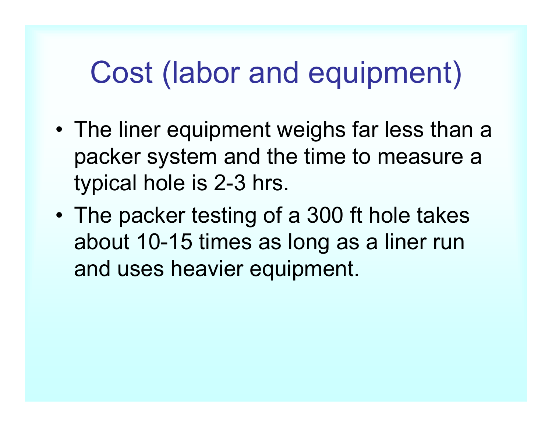## Cost (labor and equipment)

- • The liner equipment weighs far less than a packer system and the time to measure a typical hole is 2-3 hrs.
- • The packer testing of a 300 ft hole takes about 10-15 times as long as a liner run and uses heavier equipment.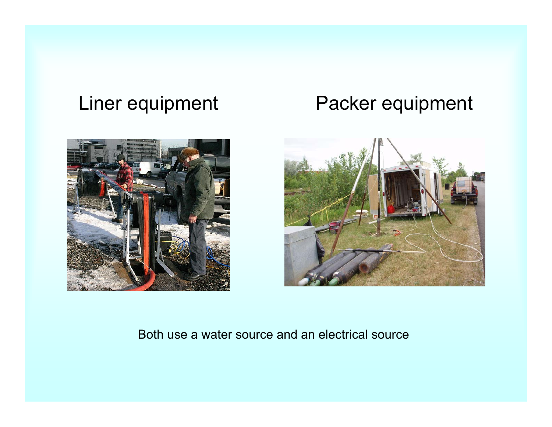#### Liner equipment Packer equipment





#### Both use a water source and an electrical source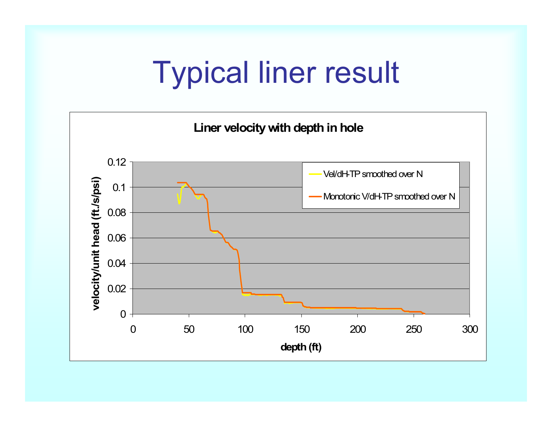#### Typical liner result

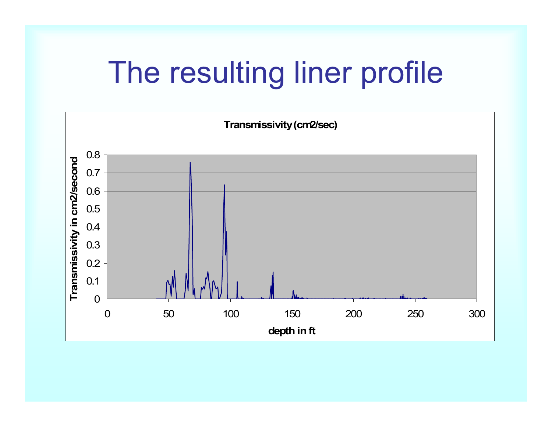## The resulting liner profile

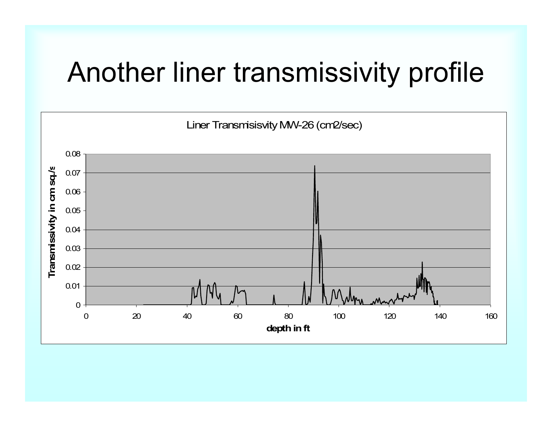#### Another liner transmissivity profile

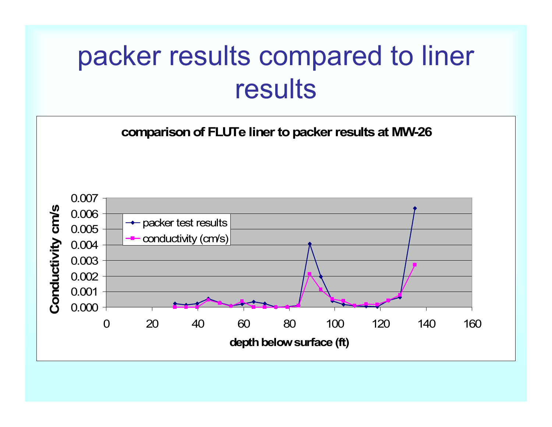#### packer results compared to liner results

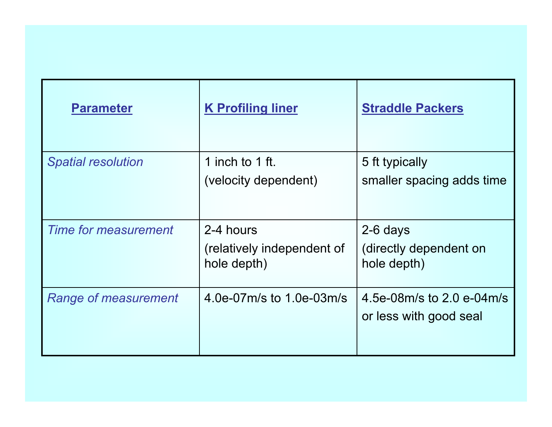| <b>Parameter</b>            | <b>K</b> Profiling liner                               | <b>Straddle Packers</b>                             |
|-----------------------------|--------------------------------------------------------|-----------------------------------------------------|
| <b>Spatial resolution</b>   | 1 inch to 1 ft.<br>(velocity dependent)                | 5 ft typically<br>smaller spacing adds time         |
| <b>Time for measurement</b> | 2-4 hours<br>(relatively independent of<br>hole depth) | 2-6 days<br>(directly dependent on<br>hole depth)   |
| Range of measurement        | 4.0e-07m/s to 1.0e-03m/s                               | 4.5e-08m/s to 2.0 e-04m/s<br>or less with good seal |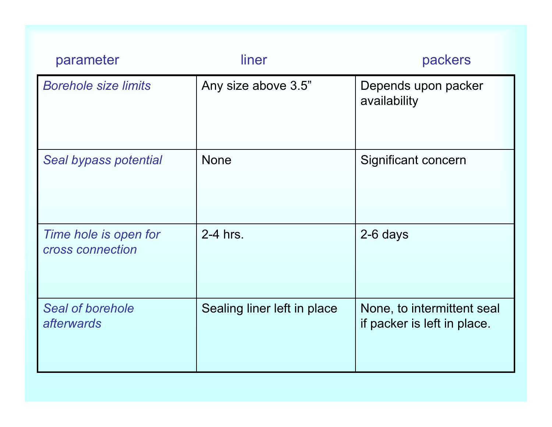| parameter                                 | liner                       | packers                                                   |
|-------------------------------------------|-----------------------------|-----------------------------------------------------------|
| <b>Borehole size limits</b>               | Any size above 3.5"         | Depends upon packer<br>availability                       |
| Seal bypass potential                     | <b>None</b>                 | Significant concern                                       |
| Time hole is open for<br>cross connection | 2-4 hrs.                    | 2-6 days                                                  |
| Seal of borehole<br><i>afterwards</i>     | Sealing liner left in place | None, to intermittent seal<br>if packer is left in place. |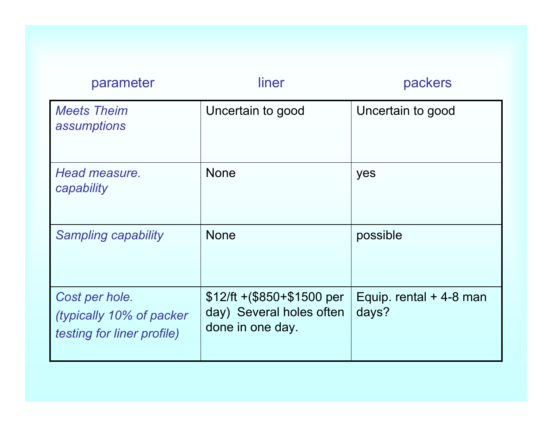| parameter                                                                | liner                                                                        | packers                           |
|--------------------------------------------------------------------------|------------------------------------------------------------------------------|-----------------------------------|
| <b>Meets Theim</b><br>assumptions                                        | Uncertain to good                                                            | Uncertain to good                 |
| Head measure.<br>capability                                              | <b>None</b>                                                                  | yes                               |
| <b>Sampling capability</b>                                               | <b>None</b>                                                                  | possible                          |
| Cost per hole.<br>(typically 10% of packer<br>testing for liner profile) | $$12$ /ft +(\$850+\$1500 per<br>day) Several holes often<br>done in one day. | Equip. rental $+4-8$ man<br>days? |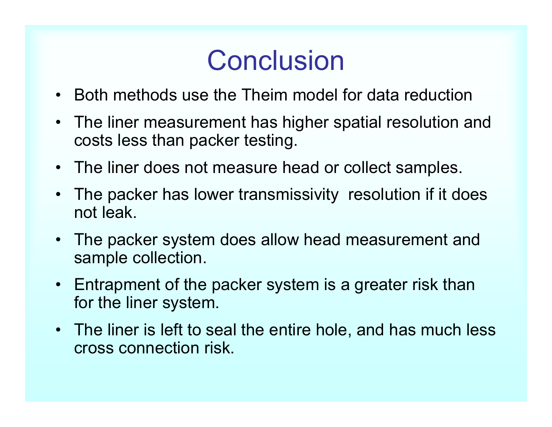#### **Conclusion**

- $\bullet$ Both methods use the Theim model for data reduction
- The liner measurement has higher spatial resolution and costs less than packer testing.
- The liner does not measure head or collect samples.
- $\bullet$  The packer has lower transmissivity resolution if it does not leak.
- • The packer system does allow head measurement and sample collection.
- $\bullet$  Entrapment of the packer system is a greater risk than for the liner system.
- The liner is left to seal the entire hole, and has much less cross connection risk.